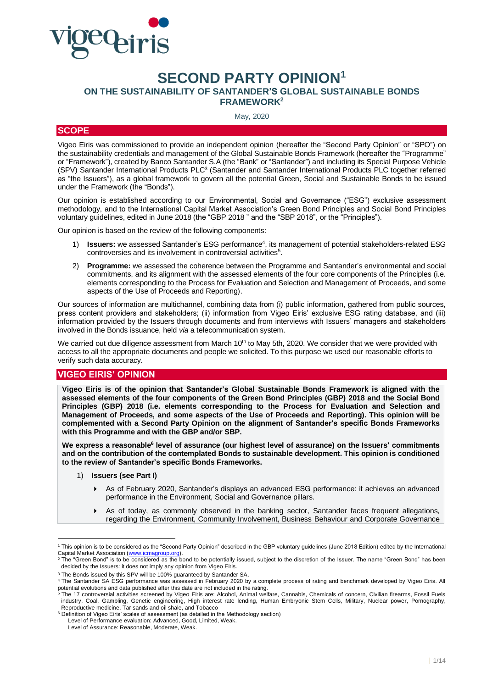

# **SECOND PARTY OPINION<sup>1</sup>**

```
ON THE SUSTAINABILITY OF SANTANDER'S GLOBAL SUSTAINABLE BONDS
```
**FRAMEWORK<sup>2</sup>**

May, 2020

# **SCOPE**

Vigeo Eiris was commissioned to provide an independent opinion (hereafter the "Second Party Opinion" or "SPO") on the sustainability credentials and management of the Global Sustainable Bonds Framework (hereafter the "Programme" or "Framework"), created by Banco Santander S.A (the "Bank" or "Santander") and including its Special Purpose Vehicle (SPV) Santander International Products PLC<sup>3</sup> (Santander and Santander International Products PLC together referred as "the Issuers"), as a global framework to govern all the potential Green, Social and Sustainable Bonds to be issued under the Framework (the "Bonds").

Our opinion is established according to our Environmental, Social and Governance ("ESG") exclusive assessment methodology, and to the International Capital Market Association's Green Bond Principles and Social Bond Principles voluntary guidelines, edited in June 2018 (the "GBP 2018 " and the "SBP 2018", or the "Principles").

Our opinion is based on the review of the following components:

- 1) **Issuers:** we assessed Santander's ESG performance<sup>4</sup>, its management of potential stakeholders-related ESG controversies and its involvement in controversial activities<sup>5</sup>.
- 2) **Programme:** we assessed the coherence between the Programme and Santander's environmental and social commitments, and its alignment with the assessed elements of the four core components of the Principles (i.e. elements corresponding to the Process for Evaluation and Selection and Management of Proceeds, and some aspects of the Use of Proceeds and Reporting).

Our sources of information are multichannel, combining data from (i) public information, gathered from public sources, press content providers and stakeholders; (ii) information from Vigeo Eiris' exclusive ESG rating database, and (iii) information provided by the Issuers through documents and from interviews with Issuers' managers and stakeholders involved in the Bonds issuance, held *via* a telecommunication system.

We carried out due diligence assessment from March 10<sup>th</sup> to May 5th, 2020. We consider that we were provided with access to all the appropriate documents and people we solicited. To this purpose we used our reasonable efforts to verify such data accuracy.

# **VIGEO EIRIS' OPINION**

**Vigeo Eiris is of the opinion that Santander's Global Sustainable Bonds Framework is aligned with the assessed elements of the four components of the Green Bond Principles (GBP) 2018 and the Social Bond Principles (GBP) 2018 (i.e. elements corresponding to the Process for Evaluation and Selection and Management of Proceeds, and some aspects of the Use of Proceeds and Reporting). This opinion will be complemented with a Second Party Opinion on the alignment of Santander's specific Bonds Frameworks with this Programme and with the GBP and/or SBP.**

We express a reasonable<sup>6</sup> level of assurance (our highest level of assurance) on the Issuers' commitments **and on the contribution of the contemplated Bonds to sustainable development. This opinion is conditioned to the review of Santander's specific Bonds Frameworks.**

- 1) **Issuers (see Part I)**
	- As of February 2020, Santander's displays an advanced ESG performance: it achieves an advanced performance in the Environment, Social and Governance pillars.
	- As of today, as commonly observed in the banking sector, Santander faces frequent allegations, regarding the Environment, Community Involvement, Business Behaviour and Corporate Governance

<sup>1</sup> This opinion is to be considered as the "Second Party Opinion" described in the GBP voluntary guidelines (June 2018 Edition) edited by the International Capital Market Association [\(www.icmagroup.org\).](file://///FCH01001/entreprises$/C157525/partage/Production%20NS/Missions%20en%20cours/685%20-%20Livelihoods/Deliverables/SPO/www.icmagroup.org)

<sup>2</sup> The "Green Bond" is to be considered as the bond to be potentially issued, subject to the discretion of the Issuer. The name "Green Bond" has been decided by the Issuers: it does not imply any opinion from Vigeo Eiris.

<sup>3</sup> The Bonds issued by this SPV will be 100% guaranteed by Santander SA.

<sup>4</sup> The Santander SA ESG performance was assessed in February 2020 by a complete process of rating and benchmark developed by Vigeo Eiris. All potential evolutions and data published after this date are not included in the rating.<br><sup>5</sup> The 17 controversial activities screened by Vigeo Eiris are: Alcohol, Animal welfare, Cannabis, Chemicals of concern, Civilian fir

industry, Coal, Gambling, Genetic engineering, High interest rate lending, Human Embryonic Stem Cells, Military, Nuclear power, Pornography, Reproductive medicine, Tar sands and oil shale, and Tobacco

<sup>6</sup> Definition of Vigeo Eiris' scales of assessment (as detailed in the Methodology section) Level of Performance evaluation: Advanced, Good, Limited, Weak.

Level of Assurance: Reasonable, Moderate, Weak.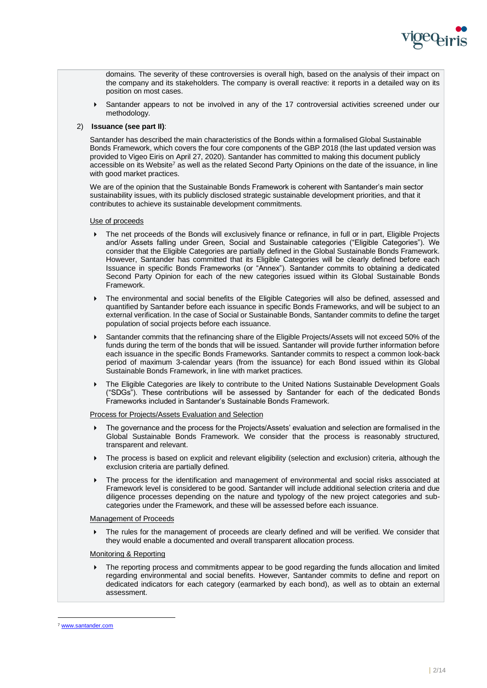

domains. The severity of these controversies is overall high, based on the analysis of their impact on the company and its stakeholders. The company is overall reactive: it reports in a detailed way on its position on most cases.

 Santander appears to not be involved in any of the 17 controversial activities screened under our methodology.

# 2) **Issuance (see part II)**:

Santander has described the main characteristics of the Bonds within a formalised Global Sustainable Bonds Framework, which covers the four core components of the GBP 2018 (the last updated version was provided to Vigeo Eiris on April 27, 2020). Santander has committed to making this document publicly accessible on its Website<sup>7</sup> as well as the related Second Party Opinions on the date of the issuance, in line with good market practices.

We are of the opinion that the Sustainable Bonds Framework is coherent with Santander's main sector sustainability issues, with its publicly disclosed strategic sustainable development priorities, and that it contributes to achieve its sustainable development commitments.

#### Use of proceeds

- The net proceeds of the Bonds will exclusively finance or refinance, in full or in part, Eligible Projects and/or Assets falling under Green, Social and Sustainable categories ("Eligible Categories"). We consider that the Eligible Categories are partially defined in the Global Sustainable Bonds Framework. However, Santander has committed that its Eligible Categories will be clearly defined before each Issuance in specific Bonds Frameworks (or "Annex"). Santander commits to obtaining a dedicated Second Party Opinion for each of the new categories issued within its Global Sustainable Bonds Framework.
- The environmental and social benefits of the Eligible Categories will also be defined, assessed and quantified by Santander before each issuance in specific Bonds Frameworks, and will be subject to an external verification. In the case of Social or Sustainable Bonds, Santander commits to define the target population of social projects before each issuance.
- Santander commits that the refinancing share of the Eligible Projects/Assets will not exceed 50% of the funds during the term of the bonds that will be issued. Santander will provide further information before each issuance in the specific Bonds Frameworks. Santander commits to respect a common look-back period of maximum 3-calendar years (from the issuance) for each Bond issued within its Global Sustainable Bonds Framework, in line with market practices.
- The Eligible Categories are likely to contribute to the United Nations Sustainable Development Goals ("SDGs"). These contributions will be assessed by Santander for each of the dedicated Bonds Frameworks included in Santander's Sustainable Bonds Framework.

#### Process for Projects/Assets Evaluation and Selection

- The governance and the process for the Projects/Assets' evaluation and selection are formalised in the Global Sustainable Bonds Framework. We consider that the process is reasonably structured, transparent and relevant.
- The process is based on explicit and relevant eligibility (selection and exclusion) criteria, although the exclusion criteria are partially defined.
- The process for the identification and management of environmental and social risks associated at Framework level is considered to be good. Santander will include additional selection criteria and due diligence processes depending on the nature and typology of the new project categories and subcategories under the Framework, and these will be assessed before each issuance.

#### Management of Proceeds

 The rules for the management of proceeds are clearly defined and will be verified. We consider that they would enable a documented and overall transparent allocation process.

#### Monitoring & Reporting

 The reporting process and commitments appear to be good regarding the funds allocation and limited regarding environmental and social benefits. However, Santander commits to define and report on dedicated indicators for each category (earmarked by each bond), as well as to obtain an external assessment.

<sup>7</sup> [www.santander.com](http://www.santander.com/)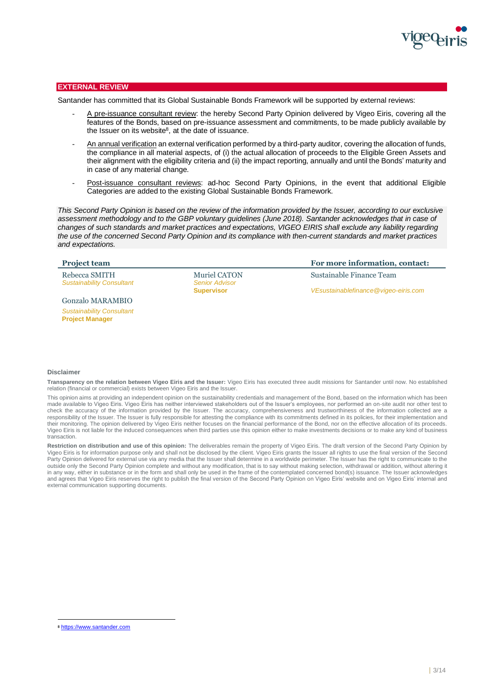

# **EXTERNAL REVIEW**

Santander has committed that its Global Sustainable Bonds Framework will be supported by external reviews:

- A pre-issuance consultant review: the hereby Second Party Opinion delivered by Vigeo Eiris, covering all the features of the Bonds, based on pre-issuance assessment and commitments, to be made publicly available by the Issuer on its website $8$ , at the date of issuance.
- An annual verification an external verification performed by a third-party auditor, covering the allocation of funds, the compliance in all material aspects, of (i) the actual allocation of proceeds to the Eligible Green Assets and their alignment with the eligibility criteria and (ii) the impact reporting, annually and until the Bonds' maturity and in case of any material change.
- Post-issuance consultant reviews: ad-hoc Second Party Opinions, in the event that additional Eligible Categories are added to the existing Global Sustainable Bonds Framework.

*This Second Party Opinion is based on the review of the information provided by the Issuer, according to our exclusive assessment methodology and to the GBP voluntary guidelines (June 2018). Santander acknowledges that in case of changes of such standards and market practices and expectations, VIGEO EIRIS shall exclude any liability regarding the use of the concerned Second Party Opinion and its compliance with then-current standards and market practices and expectations.*

| <b>Project team</b>              |                       | For more information, contact:       |
|----------------------------------|-----------------------|--------------------------------------|
| Rebecca SMITH                    | <b>Muriel CATON</b>   | Sustainable Finance Team             |
| <b>Sustainability Consultant</b> | <b>Senior Advisor</b> |                                      |
|                                  | <b>Supervisor</b>     | VEsustainablefinance@vigeo-eiris.com |
| <b>Gonzalo MARAMBIO</b>          |                       |                                      |
| <b>Sustainability Consultant</b> |                       |                                      |

#### **Disclaimer**

**Project Manager**

**Transparency on the relation between Vigeo Eiris and the Issuer:** Vigeo Eiris has executed three audit missions for Santander until now. No established relation (financial or commercial) exists between Vigeo Eiris and the Issuer.

This opinion aims at providing an independent opinion on the sustainability credentials and management of the Bond, based on the information which has been made available to Vigeo Eiris. Vigeo Eiris has neither interviewed stakeholders out of the Issuer's employees, nor performed an on-site audit nor other test to check the accuracy of the information provided by the Issuer. The accuracy, comprehensiveness and trustworthiness of the information collected are a responsibility of the Issuer. The Issuer is fully responsible for attesting the compliance with its commitments defined in its policies, for their implementation and their monitoring. The opinion delivered by Vigeo Eiris neither focuses on the financial performance of the Bond, nor on the effective allocation of its proceeds. Vigeo Eiris is not liable for the induced consequences when third parties use this opinion either to make investments decisions or to make any kind of business transaction.

**Restriction on distribution and use of this opinion:** The deliverables remain the property of Vigeo Eiris. The draft version of the Second Party Opinion by Vigeo Eiris is for information purpose only and shall not be disclosed by the client. Vigeo Eiris grants the Issuer all rights to use the final version of the Second Party Opinion delivered for external use via any media that the Issuer shall determine in a worldwide perimeter. The Issuer has the right to communicate to the outside only the Second Party Opinion complete and without any modification, that is to say without making selection, withdrawal or addition, without altering it in any way, either in substance or in the form and shall only be used in the frame of the contemplated concerned bond(s) issuance. The Issuer acknowledges and agrees that Vigeo Eiris reserves the right to publish the final version of the Second Party Opinion on Vigeo Eiris' website and on Vigeo Eiris' internal and external communication supporting documents.

<sup>8</sup> https://www.santander.com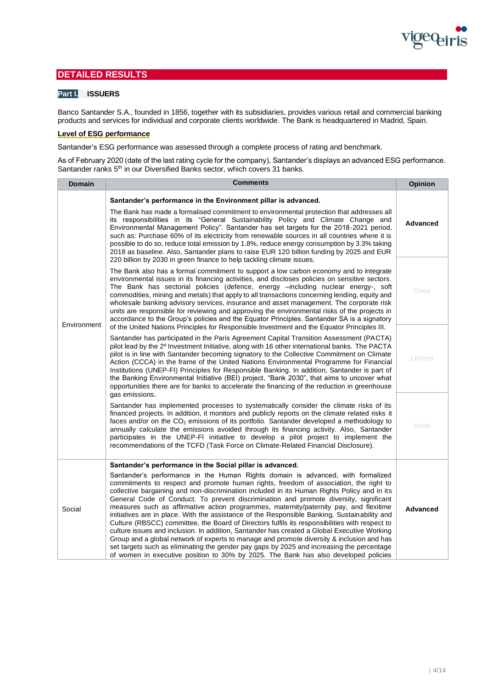

# **DETAILED RESULTS**

# **Part I. ISSUERS**

Banco Santander S.A., founded in 1856, together with its subsidiaries, provides various retail and commercial banking products and services for individual and corporate clients worldwide. The Bank is headquartered in Madrid, Spain.

# **Level of ESG performance**

Santander's ESG performance was assessed through a complete process of rating and benchmark.

As of February 2020 (date of the last rating cycle for the company), Santander's displays an advanced ESG performance. Santander ranks 5<sup>th</sup> in our Diversified Banks sector, which covers 31 banks.

| <b>Domain</b> | <b>Comments</b>                                                                                                                                                                                                                                                                                                                                                                                                                                                                                                                                                                                                                                                                                                                                                                                                                                                                                                                                                                                                                                                                                                                                                                                                                                                                                                                                                                                                                                                                                                                                                                                                                                                                                                                                                                                                                                                                                                                                                                                                                                                                                                                                                                                        |                                                                                                                                                                                                                                                                                                                                                                                                                                                                                                                                                                                                                                                                                                                                                                                                                                                                                                                                                                                                                                                                                                           |
|---------------|--------------------------------------------------------------------------------------------------------------------------------------------------------------------------------------------------------------------------------------------------------------------------------------------------------------------------------------------------------------------------------------------------------------------------------------------------------------------------------------------------------------------------------------------------------------------------------------------------------------------------------------------------------------------------------------------------------------------------------------------------------------------------------------------------------------------------------------------------------------------------------------------------------------------------------------------------------------------------------------------------------------------------------------------------------------------------------------------------------------------------------------------------------------------------------------------------------------------------------------------------------------------------------------------------------------------------------------------------------------------------------------------------------------------------------------------------------------------------------------------------------------------------------------------------------------------------------------------------------------------------------------------------------------------------------------------------------------------------------------------------------------------------------------------------------------------------------------------------------------------------------------------------------------------------------------------------------------------------------------------------------------------------------------------------------------------------------------------------------------------------------------------------------------------------------------------------------|-----------------------------------------------------------------------------------------------------------------------------------------------------------------------------------------------------------------------------------------------------------------------------------------------------------------------------------------------------------------------------------------------------------------------------------------------------------------------------------------------------------------------------------------------------------------------------------------------------------------------------------------------------------------------------------------------------------------------------------------------------------------------------------------------------------------------------------------------------------------------------------------------------------------------------------------------------------------------------------------------------------------------------------------------------------------------------------------------------------|
|               | Santander's performance in the Environment pillar is advanced.<br>The Bank has made a formalised commitment to environmental protection that addresses all<br>its responsibilities in its "General Sustainability Policy and Climate Change and<br>Environmental Management Policy". Santander has set targets for the 2018-2021 period,<br>such as: Purchase 60% of its electricity from renewable sources in all countries where it is<br>possible to do so, reduce total emission by 1.8%, reduce energy consumption by 3.3% taking<br>2018 as baseline. Also, Santander plans to raise EUR 120 billion funding by 2025 and EUR<br>220 billion by 2030 in green finance to help tackling climate issues.<br>The Bank also has a formal commitment to support a low carbon economy and to integrate<br>environmental issues in its financing activities, and discloses policies on sensitive sectors.<br>The Bank has sectorial policies (defence, energy -including nuclear energy-, soft<br>commodities, mining and metals) that apply to all transactions concerning lending, equity and<br>wholesale banking advisory services, insurance and asset management. The corporate risk<br>units are responsible for reviewing and approving the environmental risks of the projects in<br>accordance to the Group's policies and the Equator Principles. Santander SA is a signatory<br>of the United Nations Principles for Responsible Investment and the Equator Principles III.<br>Santander has participated in the Paris Agreement Capital Transition Assessment (PACTA)<br>pilot lead by the 2 <sup>0</sup> Investment Initiative, along with 16 other international banks. The PACTA<br>pilot is in line with Santander becoming signatory to the Collective Commitment on Climate<br>Action (CCCA) in the frame of the United Nations Environmental Programme for Financial<br>Institutions (UNEP-FI) Principles for Responsible Banking. In addition, Santander is part of<br>the Banking Environmental Initiative (BEI) project, "Bank 2030", that aims to uncover what<br>opportunities there are for banks to accelerate the financing of the reduction in greenhouse<br>gas emissions. |                                                                                                                                                                                                                                                                                                                                                                                                                                                                                                                                                                                                                                                                                                                                                                                                                                                                                                                                                                                                                                                                                                           |
| Environment   |                                                                                                                                                                                                                                                                                                                                                                                                                                                                                                                                                                                                                                                                                                                                                                                                                                                                                                                                                                                                                                                                                                                                                                                                                                                                                                                                                                                                                                                                                                                                                                                                                                                                                                                                                                                                                                                                                                                                                                                                                                                                                                                                                                                                        |                                                                                                                                                                                                                                                                                                                                                                                                                                                                                                                                                                                                                                                                                                                                                                                                                                                                                                                                                                                                                                                                                                           |
|               |                                                                                                                                                                                                                                                                                                                                                                                                                                                                                                                                                                                                                                                                                                                                                                                                                                                                                                                                                                                                                                                                                                                                                                                                                                                                                                                                                                                                                                                                                                                                                                                                                                                                                                                                                                                                                                                                                                                                                                                                                                                                                                                                                                                                        |                                                                                                                                                                                                                                                                                                                                                                                                                                                                                                                                                                                                                                                                                                                                                                                                                                                                                                                                                                                                                                                                                                           |
|               | Social                                                                                                                                                                                                                                                                                                                                                                                                                                                                                                                                                                                                                                                                                                                                                                                                                                                                                                                                                                                                                                                                                                                                                                                                                                                                                                                                                                                                                                                                                                                                                                                                                                                                                                                                                                                                                                                                                                                                                                                                                                                                                                                                                                                                 | Santander's performance in the Social pillar is advanced.<br>Santander's performance in the Human Rights domain is advanced, with formalized<br>commitments to respect and promote human rights, freedom of association, the right to<br>collective bargaining and non-discrimination included in its Human Rights Policy and in its<br>General Code of Conduct. To prevent discrimination and promote diversity, significant<br>measures such as affirmative action programmes, maternity/paternity pay, and flexitime<br>initiatives are in place. With the assistance of the Responsible Banking, Sustainability and<br>Culture (RBSCC) committee, the Board of Directors fulfils its responsibilities with respect to<br>culture issues and inclusion. In addition, Santander has created a Global Executive Working<br>Group and a global network of experts to manage and promote diversity & inclusion and has<br>set targets such as eliminating the gender pay gaps by 2025 and increasing the percentage<br>of women in executive position to 30% by 2025. The Bank has also developed policies |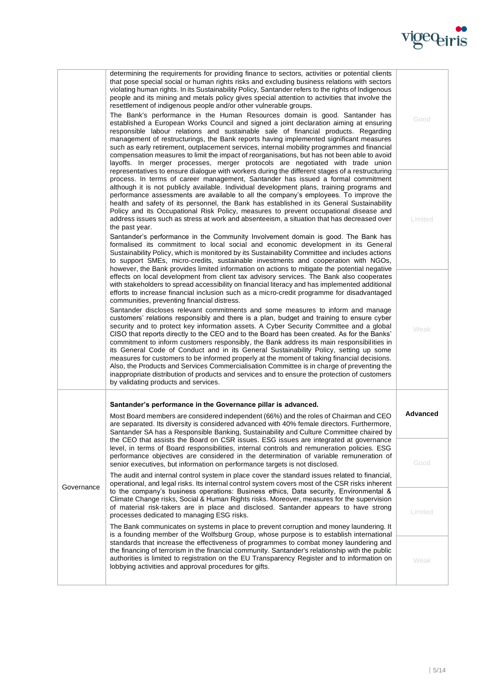

|            | determining the requirements for providing finance to sectors, activities or potential clients<br>that pose special social or human rights risks and excluding business relations with sectors<br>violating human rights. In its Sustainability Policy, Santander refers to the rights of Indigenous<br>people and its mining and metals policy gives special attention to activities that involve the<br>resettlement of indigenous people and/or other vulnerable groups.<br>The Bank's performance in the Human Resources domain is good. Santander has<br>established a European Works Council and signed a joint declaration aiming at ensuring<br>responsible labour relations and sustainable sale of financial products. Regarding<br>management of restructurings, the Bank reports having implemented significant measures<br>such as early retirement, outplacement services, internal mobility programmes and financial<br>compensation measures to limit the impact of reorganisations, but has not been able to avoid<br>layoffs. In merger processes, merger protocols are negotiated with trade union | Good     |
|------------|-----------------------------------------------------------------------------------------------------------------------------------------------------------------------------------------------------------------------------------------------------------------------------------------------------------------------------------------------------------------------------------------------------------------------------------------------------------------------------------------------------------------------------------------------------------------------------------------------------------------------------------------------------------------------------------------------------------------------------------------------------------------------------------------------------------------------------------------------------------------------------------------------------------------------------------------------------------------------------------------------------------------------------------------------------------------------------------------------------------------------|----------|
|            | representatives to ensure dialogue with workers during the different stages of a restructuring<br>process. In terms of career management, Santander has issued a formal commitment<br>although it is not publicly available. Individual development plans, training programs and<br>performance assessments are available to all the company's employees. To improve the<br>health and safety of its personnel, the Bank has established in its General Sustainability<br>Policy and its Occupational Risk Policy, measures to prevent occupational disease and<br>address issues such as stress at work and absenteeism, a situation that has decreased over<br>the past year.<br>Santander's performance in the Community Involvement domain is good. The Bank has                                                                                                                                                                                                                                                                                                                                                  | Limited  |
|            | formalised its commitment to local social and economic development in its General<br>Sustainability Policy, which is monitored by its Sustainability Committee and includes actions<br>to support SMEs, micro-credits, sustainable investments and cooperation with NGOs,<br>however, the Bank provides limited information on actions to mitigate the potential negative<br>effects on local development from client tax advisory services. The Bank also cooperates<br>with stakeholders to spread accessibility on financial literacy and has implemented additional<br>efforts to increase financial inclusion such as a micro-credit programme for disadvantaged                                                                                                                                                                                                                                                                                                                                                                                                                                                 |          |
|            | communities, preventing financial distress.<br>Santander discloses relevant commitments and some measures to inform and manage<br>customers' relations responsibly and there is a plan, budget and training to ensure cyber<br>security and to protect key information assets. A Cyber Security Committee and a global<br>CISO that reports directly to the CEO and to the Board has been created. As for the Banks'<br>commitment to inform customers responsibly, the Bank address its main responsibilities in<br>its General Code of Conduct and in its General Sustainability Policy, setting up some<br>measures for customers to be informed properly at the moment of taking financial decisions.<br>Also, the Products and Services Commercialisation Committee is in charge of preventing the<br>inappropriate distribution of products and services and to ensure the protection of customers<br>by validating products and services.                                                                                                                                                                      | Weak     |
|            | Santander's performance in the Governance pillar is advanced.<br>Most Board members are considered independent (66%) and the roles of Chairman and CEO<br>are separated. Its diversity is considered advanced with 40% female directors. Furthermore,<br>Santander SA has a Responsible Banking, Sustainability and Culture Committee chaired by                                                                                                                                                                                                                                                                                                                                                                                                                                                                                                                                                                                                                                                                                                                                                                      | Advanced |
|            | the CEO that assists the Board on CSR issues. ESG issues are integrated at governance<br>level, in terms of Board responsibilities, internal controls and remuneration policies. ESG<br>performance objectives are considered in the determination of variable remuneration of<br>senior executives, but information on performance targets is not disclosed.<br>The audit and internal control system in place cover the standard issues related to financial,                                                                                                                                                                                                                                                                                                                                                                                                                                                                                                                                                                                                                                                       |          |
| Governance | operational, and legal risks. Its internal control system covers most of the CSR risks inherent<br>to the company's business operations: Business ethics, Data security, Environmental &<br>Climate Change risks, Social & Human Rights risks. Moreover, measures for the supervision<br>of material risk-takers are in place and disclosed. Santander appears to have strong<br>processes dedicated to managing ESG risks.                                                                                                                                                                                                                                                                                                                                                                                                                                                                                                                                                                                                                                                                                           | Limited  |
|            | The Bank communicates on systems in place to prevent corruption and money laundering. It<br>is a founding member of the Wolfsburg Group, whose purpose is to establish international<br>standards that increase the effectiveness of programmes to combat money laundering and<br>the financing of terrorism in the financial community. Santander's relationship with the public<br>authorities is limited to registration on the EU Transparency Register and to information on<br>lobbying activities and approval procedures for gifts.                                                                                                                                                                                                                                                                                                                                                                                                                                                                                                                                                                           | Weak     |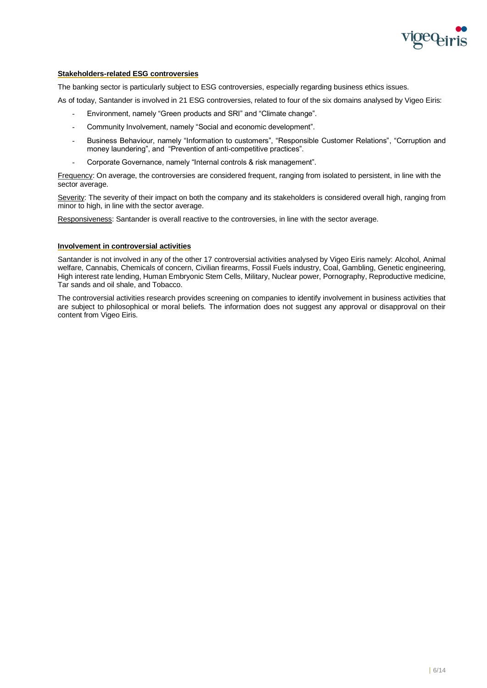

# **Stakeholders-related ESG controversies**

The banking sector is particularly subject to ESG controversies, especially regarding business ethics issues.

As of today, Santander is involved in 21 ESG controversies, related to four of the six domains analysed by Vigeo Eiris:

- Environment, namely "Green products and SRI" and "Climate change".
- Community Involvement, namely "Social and economic development".
- Business Behaviour, namely "Information to customers", "Responsible Customer Relations", "Corruption and money laundering", and "Prevention of anti-competitive practices".
- Corporate Governance, namely "Internal controls & risk management".

Frequency: On average, the controversies are considered frequent, ranging from isolated to persistent, in line with the sector average.

Severity: The severity of their impact on both the company and its stakeholders is considered overall high, ranging from minor to high, in line with the sector average.

Responsiveness: Santander is overall reactive to the controversies, in line with the sector average.

# **Involvement in controversial activities**

Santander is not involved in any of the other 17 controversial activities analysed by Vigeo Eiris namely: Alcohol, Animal welfare, Cannabis, Chemicals of concern, Civilian firearms, Fossil Fuels industry, Coal, Gambling, Genetic engineering, High interest rate lending, Human Embryonic Stem Cells, Military, Nuclear power, Pornography, Reproductive medicine, Tar sands and oil shale, and Tobacco.

The controversial activities research provides screening on companies to identify involvement in business activities that are subject to philosophical or moral beliefs. The information does not suggest any approval or disapproval on their content from Vigeo Eiris.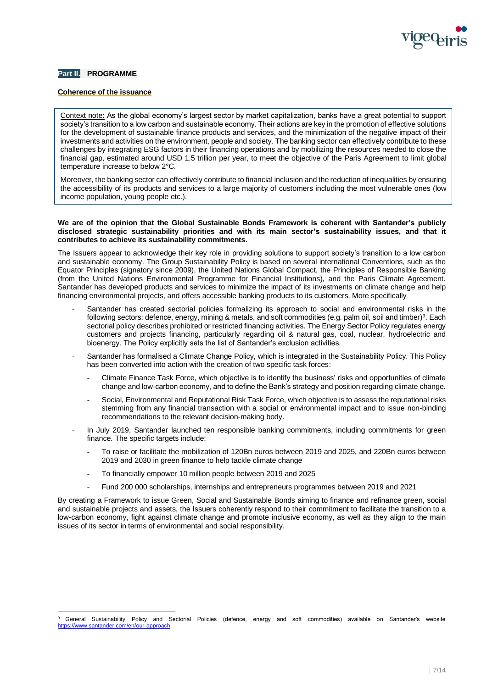

# **Part II. PROGRAMME**

# **Coherence of the issuance**

Context note: As the global economy's largest sector by market capitalization, banks have a great potential to support society's transition to a low carbon and sustainable economy. Their actions are key in the promotion of effective solutions for the development of sustainable finance products and services, and the minimization of the negative impact of their investments and activities on the environment, people and society. The banking sector can effectively contribute to these challenges by integrating ESG factors in their financing operations and by mobilizing the resources needed to close the financial gap, estimated around USD 1.5 trillion per year, to meet the objective of the Paris Agreement to limit global temperature increase to below 2°C.

Moreover, the banking sector can effectively contribute to financial inclusion and the reduction of inequalities by ensuring the accessibility of its products and services to a large majority of customers including the most vulnerable ones (low income population, young people etc.).

### **We are of the opinion that the Global Sustainable Bonds Framework is coherent with Santander's publicly disclosed strategic sustainability priorities and with its main sector's sustainability issues, and that it contributes to achieve its sustainability commitments.**

The Issuers appear to acknowledge their key role in providing solutions to support society's transition to a low carbon and sustainable economy. The Group Sustainability Policy is based on several international Conventions, such as the Equator Principles (signatory since 2009), the United Nations Global Compact, the Principles of Responsible Banking (from the United Nations Environmental Programme for Financial Institutions), and the Paris Climate Agreement. Santander has developed products and services to minimize the impact of its investments on climate change and help financing environmental projects, and offers accessible banking products to its customers. More specifically

- Santander has created sectorial policies formalizing its approach to social and environmental risks in the following sectors: defence, energy, mining & metals, and soft commodities (e.g. palm oil, soil and timber)<sup>9</sup>. Each sectorial policy describes prohibited or restricted financing activities. The Energy Sector Policy regulates energy customers and projects financing, particularly regarding oil & natural gas, coal, nuclear, hydroelectric and bioenergy. The Policy explicitly sets the list of Santander's exclusion activities.
- Santander has formalised a Climate Change Policy, which is integrated in the Sustainability Policy. This Policy has been converted into action with the creation of two specific task forces:
	- Climate Finance Task Force, which objective is to identify the business' risks and opportunities of climate change and low-carbon economy, and to define the Bank's strategy and position regarding climate change.
	- Social, Environmental and Reputational Risk Task Force, which objective is to assess the reputational risks stemming from any financial transaction with a social or environmental impact and to issue non-binding recommendations to the relevant decision-making body.
- In July 2019, Santander launched ten responsible banking commitments, including commitments for green finance. The specific targets include:
	- To raise or facilitate the mobilization of 120Bn euros between 2019 and 2025, and 220Bn euros between 2019 and 2030 in green finance to help tackle climate change
	- To financially empower 10 million people between 2019 and 2025
	- Fund 200 000 scholarships, internships and entrepreneurs programmes between 2019 and 2021

By creating a Framework to issue Green, Social and Sustainable Bonds aiming to finance and refinance green, social and sustainable projects and assets, the Issuers coherently respond to their commitment to facilitate the transition to a low-carbon economy, fight against climate change and promote inclusive economy, as well as they align to the main issues of its sector in terms of environmental and social responsibility.

General Sustainability Policy and Sectorial Policies (defence, energy and soft commodities) available on Santander's website santander.com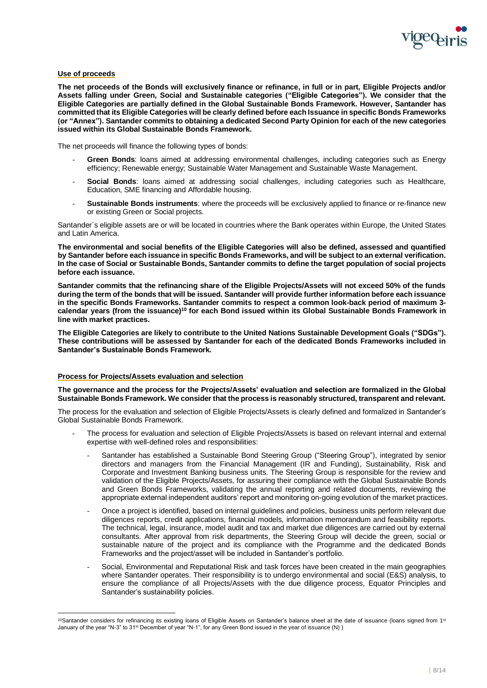

#### **Use of proceeds**

**The net proceeds of the Bonds will exclusively finance or refinance, in full or in part, Eligible Projects and/or Assets falling under Green, Social and Sustainable categories ("Eligible Categories"). We consider that the Eligible Categories are partially defined in the Global Sustainable Bonds Framework. However, Santander has committed that its Eligible Categories will be clearly defined before each Issuance in specific Bonds Frameworks (or "Annex"). Santander commits to obtaining a dedicated Second Party Opinion for each of the new categories issued within its Global Sustainable Bonds Framework.**

The net proceeds will finance the following types of bonds:

- Green Bonds: loans aimed at addressing environmental challenges, including categories such as Energy efficiency; Renewable energy; Sustainable Water Management and Sustainable Waste Management.
- **Social Bonds**: loans aimed at addressing social challenges, including categories such as Healthcare, Education, SME financing and Affordable housing.
- **Sustainable Bonds instruments**: where the proceeds will be exclusively applied to finance or re-finance new or existing Green or Social projects.

Santander´s eligible assets are or will be located in countries where the Bank operates within Europe, the United States and Latin America.

**The environmental and social benefits of the Eligible Categories will also be defined, assessed and quantified by Santander before each issuance in specific Bonds Frameworks, and will be subject to an external verification. In the case of Social or Sustainable Bonds, Santander commits to define the target population of social projects before each issuance.**

**Santander commits that the refinancing share of the Eligible Projects/Assets will not exceed 50% of the funds during the term of the bonds that will be issued. Santander will provide further information before each issuance in the specific Bonds Frameworks. Santander commits to respect a common look-back period of maximum 3 calendar years (from the issuance)<sup>10</sup> for each Bond issued within its Global Sustainable Bonds Framework in line with market practices.**

**The Eligible Categories are likely to contribute to the United Nations Sustainable Development Goals ("SDGs"). These contributions will be assessed by Santander for each of the dedicated Bonds Frameworks included in Santander's Sustainable Bonds Framework.**

#### **Process for Projects/Assets evaluation and selection**

**The governance and the process for the Projects/Assets' evaluation and selection are formalized in the Global Sustainable Bonds Framework. We consider that the process is reasonably structured, transparent and relevant.** 

The process for the evaluation and selection of Eligible Projects/Assets is clearly defined and formalized in Santander's Global Sustainable Bonds Framework.

- The process for evaluation and selection of Eligible Projects/Assets is based on relevant internal and external expertise with well-defined roles and responsibilities:
	- Santander has established a Sustainable Bond Steering Group ("Steering Group"), integrated by senior directors and managers from the Financial Management (IR and Funding), Sustainability, Risk and Corporate and Investment Banking business units. The Steering Group is responsible for the review and validation of the Eligible Projects/Assets, for assuring their compliance with the Global Sustainable Bonds and Green Bonds Frameworks, validating the annual reporting and related documents, reviewing the appropriate external independent auditors' report and monitoring on-going evolution of the market practices.
	- Once a project is identified, based on internal guidelines and policies, business units perform relevant due diligences reports, credit applications, financial models, information memorandum and feasibility reports. The technical, legal, insurance, model audit and tax and market due diligences are carried out by external consultants. After approval from risk departments, the Steering Group will decide the green, social or sustainable nature of the project and its compliance with the Programme and the dedicated Bonds Frameworks and the project/asset will be included in Santander's portfolio.
	- Social, Environmental and Reputational Risk and task forces have been created in the main geographies where Santander operates. Their responsibility is to undergo environmental and social (E&S) analysis, to ensure the compliance of all Projects/Assets with the due diligence process, Equator Principles and Santander's sustainability policies.

<sup>10</sup>Santander considers for refinancing its existing loans of Eligible Assets on Santander's balance sheet at the date of issuance (loans signed from 1st January of the year "N-3" to 31st December of year "N-1", for any Green Bond issued in the year of issuance (N) )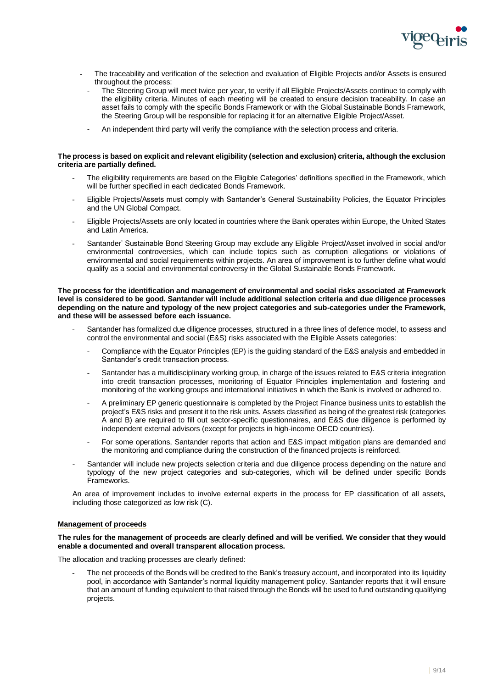

- The traceability and verification of the selection and evaluation of Eligible Projects and/or Assets is ensured throughout the process:
	- The Steering Group will meet twice per year, to verify if all Eligible Projects/Assets continue to comply with the eligibility criteria. Minutes of each meeting will be created to ensure decision traceability. In case an asset fails to comply with the specific Bonds Framework or with the Global Sustainable Bonds Framework, the Steering Group will be responsible for replacing it for an alternative Eligible Project/Asset.
	- An independent third party will verify the compliance with the selection process and criteria.

# **The process is based on explicit and relevant eligibility (selection and exclusion) criteria, although the exclusion criteria are partially defined.**

- The eligibility requirements are based on the Eligible Categories' definitions specified in the Framework, which will be further specified in each dedicated Bonds Framework.
- Eligible Projects/Assets must comply with Santander's General Sustainability Policies, the Equator Principles and the UN Global Compact.
- Eligible Projects/Assets are only located in countries where the Bank operates within Europe, the United States and Latin America.
- Santander' Sustainable Bond Steering Group may exclude any Eligible Project/Asset involved in social and/or environmental controversies, which can include topics such as corruption allegations or violations of environmental and social requirements within projects. An area of improvement is to further define what would qualify as a social and environmental controversy in the Global Sustainable Bonds Framework.

#### **The process for the identification and management of environmental and social risks associated at Framework level is considered to be good. Santander will include additional selection criteria and due diligence processes depending on the nature and typology of the new project categories and sub-categories under the Framework, and these will be assessed before each issuance.**

- Santander has formalized due diligence processes, structured in a three lines of defence model, to assess and control the environmental and social (E&S) risks associated with the Eligible Assets categories:
	- Compliance with the Equator Principles (EP) is the guiding standard of the E&S analysis and embedded in Santander's credit transaction process.
	- Santander has a multidisciplinary working group, in charge of the issues related to E&S criteria integration into credit transaction processes, monitoring of Equator Principles implementation and fostering and monitoring of the working groups and international initiatives in which the Bank is involved or adhered to.
	- A preliminary EP generic questionnaire is completed by the Project Finance business units to establish the project's E&S risks and present it to the risk units. Assets classified as being of the greatest risk (categories A and B) are required to fill out sector-specific questionnaires, and E&S due diligence is performed by independent external advisors (except for projects in high-income OECD countries).
	- For some operations, Santander reports that action and E&S impact mitigation plans are demanded and the monitoring and compliance during the construction of the financed projects is reinforced.
- Santander will include new projects selection criteria and due diligence process depending on the nature and typology of the new project categories and sub-categories, which will be defined under specific Bonds Frameworks.

An area of improvement includes to involve external experts in the process for EP classification of all assets, including those categorized as low risk (C).

# **Management of proceeds**

# **The rules for the management of proceeds are clearly defined and will be verified. We consider that they would enable a documented and overall transparent allocation process.**

The allocation and tracking processes are clearly defined:

The net proceeds of the Bonds will be credited to the Bank's treasury account, and incorporated into its liquidity pool, in accordance with Santander's normal liquidity management policy. Santander reports that it will ensure that an amount of funding equivalent to that raised through the Bonds will be used to fund outstanding qualifying projects.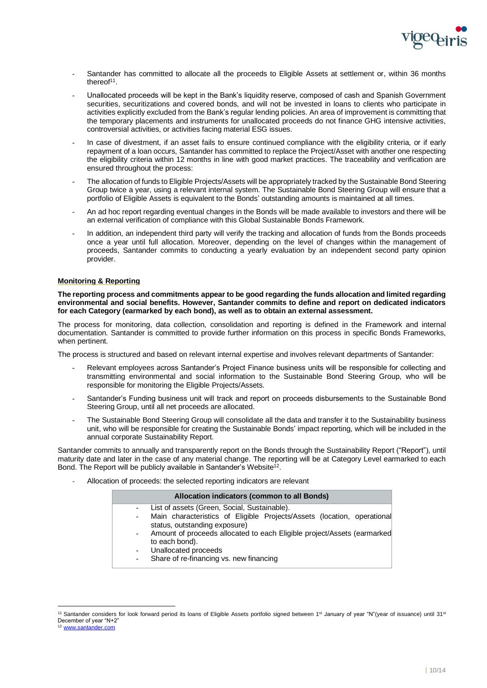

- Santander has committed to allocate all the proceeds to Eligible Assets at settlement or, within 36 months thereof<sup>11</sup>.
- Unallocated proceeds will be kept in the Bank's liquidity reserve, composed of cash and Spanish Government securities, securitizations and covered bonds, and will not be invested in loans to clients who participate in activities explicitly excluded from the Bank's regular lending policies. An area of improvement is committing that the temporary placements and instruments for unallocated proceeds do not finance GHG intensive activities, controversial activities, or activities facing material ESG issues.
- In case of divestment, if an asset fails to ensure continued compliance with the eligibility criteria, or if early repayment of a loan occurs, Santander has committed to replace the Project/Asset with another one respecting the eligibility criteria within 12 months in line with good market practices. The traceability and verification are ensured throughout the process:
- The allocation of funds to Eligible Projects/Assets will be appropriately tracked by the Sustainable Bond Steering Group twice a year, using a relevant internal system. The Sustainable Bond Steering Group will ensure that a portfolio of Eligible Assets is equivalent to the Bonds' outstanding amounts is maintained at all times.
- An ad hoc report regarding eventual changes in the Bonds will be made available to investors and there will be an external verification of compliance with this Global Sustainable Bonds Framework.
- In addition, an independent third party will verify the tracking and allocation of funds from the Bonds proceeds once a year until full allocation. Moreover, depending on the level of changes within the management of proceeds, Santander commits to conducting a yearly evaluation by an independent second party opinion provider.

# **Monitoring & Reporting**

**The reporting process and commitments appear to be good regarding the funds allocation and limited regarding environmental and social benefits. However, Santander commits to define and report on dedicated indicators for each Category (earmarked by each bond), as well as to obtain an external assessment.**

The process for monitoring, data collection, consolidation and reporting is defined in the Framework and internal documentation. Santander is committed to provide further information on this process in specific Bonds Frameworks, when pertinent.

The process is structured and based on relevant internal expertise and involves relevant departments of Santander:

- Relevant employees across Santander's Project Finance business units will be responsible for collecting and transmitting environmental and social information to the Sustainable Bond Steering Group, who will be responsible for monitoring the Eligible Projects/Assets.
- Santander's Funding business unit will track and report on proceeds disbursements to the Sustainable Bond Steering Group, until all net proceeds are allocated.
- The Sustainable Bond Steering Group will consolidate all the data and transfer it to the Sustainability business unit, who will be responsible for creating the Sustainable Bonds' impact reporting, which will be included in the annual corporate Sustainability Report.

Santander commits to annually and transparently report on the Bonds through the Sustainability Report ("Report"), until maturity date and later in the case of any material change. The reporting will be at Category Level earmarked to each Bond. The Report will be publicly available in Santander's Website<sup>12</sup>.

Allocation of proceeds: the selected reporting indicators are relevant

|                          | Allocation indicators (common to all Bonds)                                                                       |
|--------------------------|-------------------------------------------------------------------------------------------------------------------|
|                          | - List of assets (Green, Social, Sustainable).                                                                    |
| $\overline{\phantom{a}}$ | Main characteristics of Eligible Projects/Assets (location, operational<br>status, outstanding exposure)          |
| $\overline{\phantom{a}}$ | Amount of proceeds allocated to each Eligible project/Assets (earmarked<br>to each bond).<br>Unallocated proceeds |

Share of re-financing vs. new financing

<sup>&</sup>lt;sup>11</sup> Santander considers for look forward period its loans of Eligible Assets portfolio signed between 1<sup>st</sup> January of year "N"(year of issuance) until 31<sup>st</sup> December of year "N+2"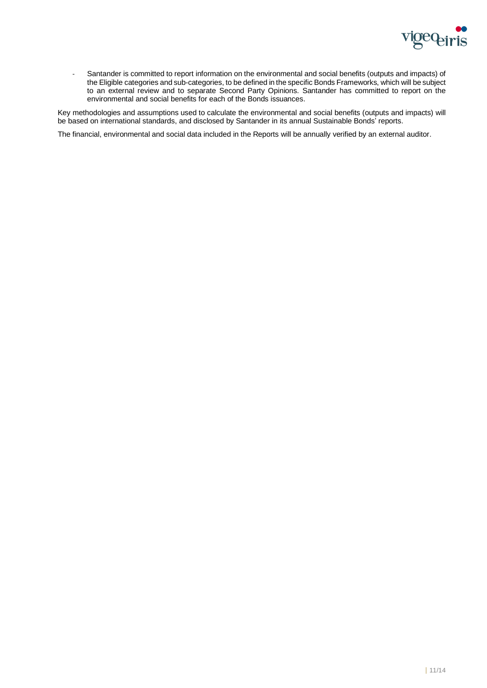

- Santander is committed to report information on the environmental and social benefits (outputs and impacts) of the Eligible categories and sub-categories, to be defined in the specific Bonds Frameworks, which will be subject to an external review and to separate Second Party Opinions. Santander has committed to report on the environmental and social benefits for each of the Bonds issuances.

Key methodologies and assumptions used to calculate the environmental and social benefits (outputs and impacts) will be based on international standards, and disclosed by Santander in its annual Sustainable Bonds' reports.

The financial, environmental and social data included in the Reports will be annually verified by an external auditor.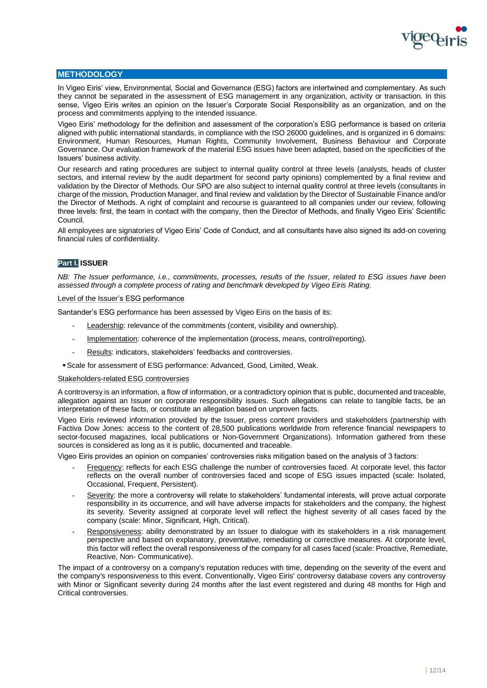

# **METHODOLOGY**

In Vigeo Eiris' view, Environmental, Social and Governance (ESG) factors are intertwined and complementary. As such they cannot be separated in the assessment of ESG management in any organization, activity or transaction. In this sense, Vigeo Eiris writes an opinion on the Issuer's Corporate Social Responsibility as an organization, and on the process and commitments applying to the intended issuance.

Vigeo Eiris' methodology for the definition and assessment of the corporation's ESG performance is based on criteria aligned with public international standards, in compliance with the ISO 26000 guidelines, and is organized in 6 domains: Environment, Human Resources, Human Rights, Community Involvement, Business Behaviour and Corporate Governance. Our evaluation framework of the material ESG issues have been adapted, based on the specificities of the Issuers' business activity.

Our research and rating procedures are subject to internal quality control at three levels (analysts, heads of cluster sectors, and internal review by the audit department for second party opinions) complemented by a final review and validation by the Director of Methods. Our SPO are also subject to internal quality control at three levels (consultants in charge of the mission, Production Manager, and final review and validation by the Director of Sustainable Finance and/or the Director of Methods. A right of complaint and recourse is guaranteed to all companies under our review, following three levels: first, the team in contact with the company, then the Director of Methods, and finally Vigeo Eiris' Scientific Council.

All employees are signatories of Vigeo Eiris' Code of Conduct, and all consultants have also signed its add-on covering financial rules of confidentiality.

# **Part I. ISSUER**

*NB: The Issuer performance, i.e., commitments, processes, results of the Issuer, related to ESG issues have been assessed through a complete process of rating and benchmark developed by Vigeo Eiris Rating.* 

#### Level of the Issuer's ESG performance

Santander's ESG performance has been assessed by Vigeo Eiris on the basis of its:

- Leadership: relevance of the commitments (content, visibility and ownership).
- Implementation: coherence of the implementation (process, means, control/reporting).
- Results: indicators, stakeholders' feedbacks and controversies.
- ▪Scale for assessment of ESG performance: Advanced, Good, Limited, Weak.

#### Stakeholders-related ESG controversies

A controversy is an information, a flow of information, or a contradictory opinion that is public, documented and traceable, allegation against an Issuer on corporate responsibility issues. Such allegations can relate to tangible facts, be an interpretation of these facts, or constitute an allegation based on unproven facts.

Vigeo Eiris reviewed information provided by the Issuer, press content providers and stakeholders (partnership with Factiva Dow Jones: access to the content of 28,500 publications worldwide from reference financial newspapers to sector-focused magazines, local publications or Non-Government Organizations). Information gathered from these sources is considered as long as it is public, documented and traceable.

Vigeo Eiris provides an opinion on companies' controversies risks mitigation based on the analysis of 3 factors:

- Frequency: reflects for each ESG challenge the number of controversies faced. At corporate level, this factor reflects on the overall number of controversies faced and scope of ESG issues impacted (scale: Isolated, Occasional, Frequent, Persistent).
- Severity: the more a controversy will relate to stakeholders' fundamental interests, will prove actual corporate responsibility in its occurrence, and will have adverse impacts for stakeholders and the company, the highest its severity. Severity assigned at corporate level will reflect the highest severity of all cases faced by the company (scale: Minor, Significant, High, Critical).
- Responsiveness: ability demonstrated by an Issuer to dialogue with its stakeholders in a risk management perspective and based on explanatory, preventative, remediating or corrective measures. At corporate level, this factor will reflect the overall responsiveness of the company for all cases faced (scale: Proactive, Remediate, Reactive, Non- Communicative).

The impact of a controversy on a company's reputation reduces with time, depending on the severity of the event and the company's responsiveness to this event. Conventionally, Vigeo Eiris' controversy database covers any controversy with Minor or Significant severity during 24 months after the last event registered and during 48 months for High and Critical controversies.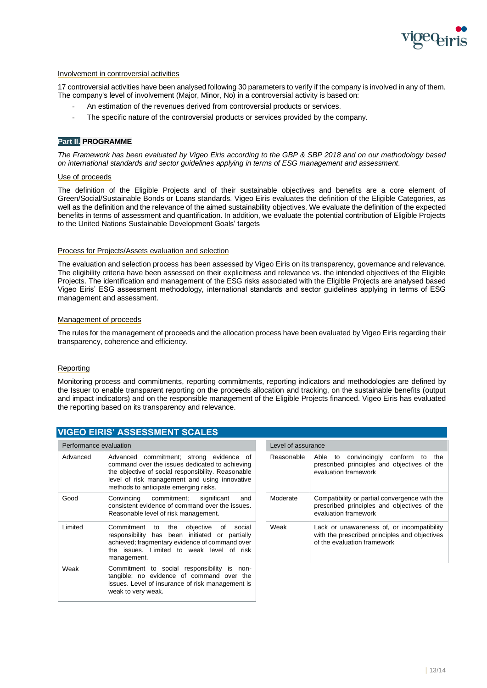

#### Involvement in controversial activities

17 controversial activities have been analysed following 30 parameters to verify if the company is involved in any of them. The company's level of involvement (Major, Minor, No) in a controversial activity is based on:

- An estimation of the revenues derived from controversial products or services.
- The specific nature of the controversial products or services provided by the company.

# **Part II. PROGRAMME**

*The Framework has been evaluated by Vigeo Eiris according to the GBP & SBP 2018 and on our methodology based on international standards and sector guidelines applying in terms of ESG management and assessment.*

# Use of proceeds

The definition of the Eligible Projects and of their sustainable objectives and benefits are a core element of Green/Social/Sustainable Bonds or Loans standards. Vigeo Eiris evaluates the definition of the Eligible Categories, as well as the definition and the relevance of the aimed sustainability objectives. We evaluate the definition of the expected benefits in terms of assessment and quantification. In addition, we evaluate the potential contribution of Eligible Projects to the United Nations Sustainable Development Goals' targets

#### Process for Projects/Assets evaluation and selection

The evaluation and selection process has been assessed by Vigeo Eiris on its transparency, governance and relevance. The eligibility criteria have been assessed on their explicitness and relevance vs. the intended objectives of the Eligible Projects. The identification and management of the ESG risks associated with the Eligible Projects are analysed based Vigeo Eiris' ESG assessment methodology, international standards and sector guidelines applying in terms of ESG management and assessment.

#### Management of proceeds

The rules for the management of proceeds and the allocation process have been evaluated by Vigeo Eiris regarding their transparency, coherence and efficiency.

# **Reporting**

Monitoring process and commitments, reporting commitments, reporting indicators and methodologies are defined by the Issuer to enable transparent reporting on the proceeds allocation and tracking, on the sustainable benefits (output and impact indicators) and on the responsible management of the Eligible Projects financed. Vigeo Eiris has evaluated the reporting based on its transparency and relevance.

|  | <b>VIGEO EIRIS' ASSESSMENT SCALES</b> |  |
|--|---------------------------------------|--|
|  |                                       |  |

| Performance evaluation |                                                                                                                                                                                                                                           |  | Level of assurance |                      |
|------------------------|-------------------------------------------------------------------------------------------------------------------------------------------------------------------------------------------------------------------------------------------|--|--------------------|----------------------|
| Advanced               | Advanced commitment; strong evidence of<br>command over the issues dedicated to achieving<br>the objective of social responsibility. Reasonable<br>level of risk management and using innovative<br>methods to anticipate emerging risks. |  | Reasonable         | Abl<br>pres<br>eva   |
| Good                   | Convincing commitment; significant<br>and<br>consistent evidence of command over the issues.<br>Reasonable level of risk management.                                                                                                      |  | Moderate           | Cor<br>pres<br>eva   |
| Limited                | Commitment to the objective of<br>social<br>responsibility has been initiated or partially<br>achieved; fragmentary evidence of command over<br>the issues. Limited to weak level of risk<br>management.                                  |  | Weak               | Lac<br>with<br>of th |
| Weak                   | Commitment to social responsibility is non-<br>tangible; no evidence of command over the<br>issues. Level of insurance of risk management is<br>weak to very weak.                                                                        |  |                    |                      |

| Level of assurance |                                                                                                                            |  |
|--------------------|----------------------------------------------------------------------------------------------------------------------------|--|
| Reasonable         | Able to convincingly conform to the<br>prescribed principles and objectives of the<br>evaluation framework                 |  |
| Moderate           | Compatibility or partial convergence with the<br>prescribed principles and objectives of the<br>evaluation framework       |  |
| Weak               | Lack or unawareness of, or incompatibility<br>with the prescribed principles and objectives<br>of the evaluation framework |  |